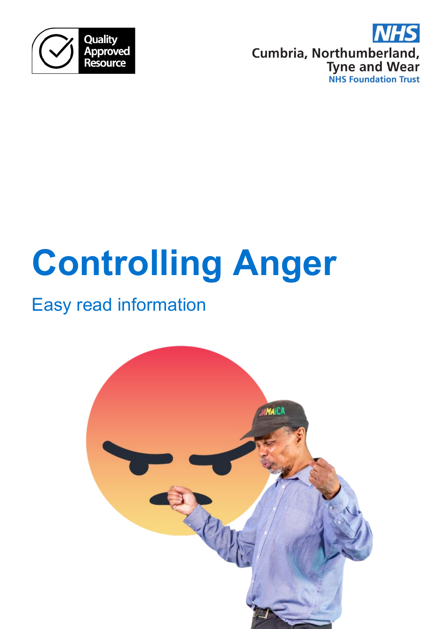



# **Controlling Anger**

# Easy read information

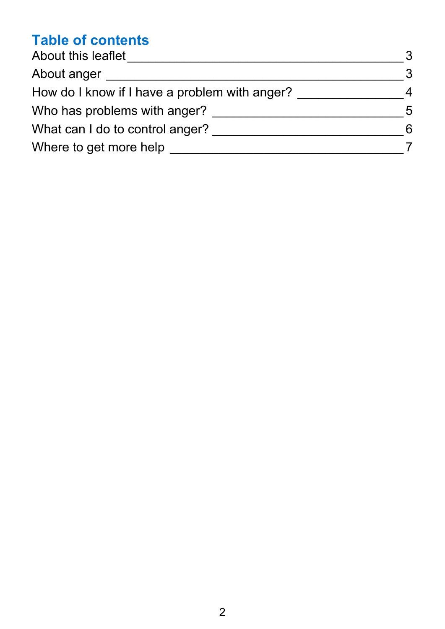## **Table of contents**

| About this leaflet                            | 3              |
|-----------------------------------------------|----------------|
| About anger                                   | 3              |
| How do I know if I have a problem with anger? | 4              |
| Who has problems with anger?                  | $\overline{5}$ |
| What can I do to control anger?               | 6              |
| Where to get more help                        |                |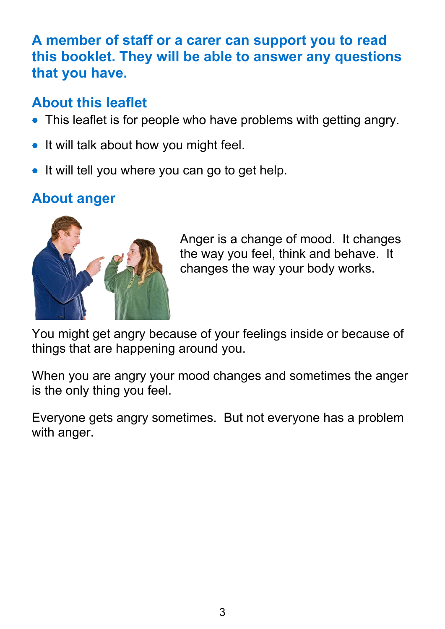#### **A member of staff or a carer can support you to read this booklet. They will be able to answer any questions that you have.**

#### <span id="page-2-0"></span>**About this leaflet**

- This leaflet is for people who have problems with getting angry.
- It will talk about how you might feel.
- It will tell you where you can go to get help.

# <span id="page-2-1"></span>**About anger**



Anger is a change of mood. It changes the way you feel, think and behave. It changes the way your body works.

You might get angry because of your feelings inside or because of things that are happening around you.

When you are angry your mood changes and sometimes the anger is the only thing you feel.

Everyone gets angry sometimes. But not everyone has a problem with anger.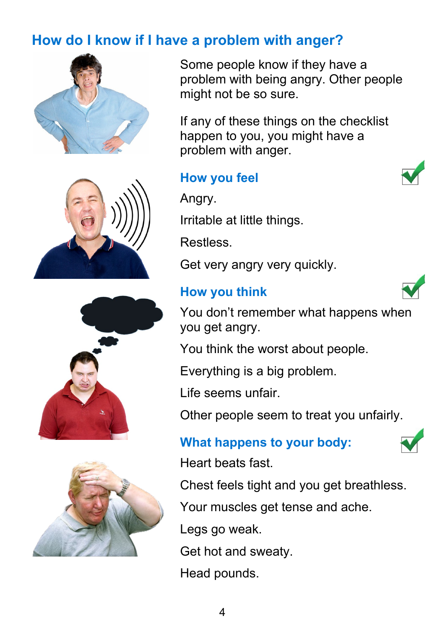# <span id="page-3-0"></span>**How do I know if I have a problem with anger?**









Some people know if they have a problem with being angry. Other people might not be so sure.

If any of these things on the checklist happen to you, you might have a problem with anger.

#### **How you feel**

Angry.

Irritable at little things.

Restless.

Get very angry very quickly.

#### **How you think**



You don't remember what happens when you get angry.

You think the worst about people.

Everything is a big problem.

Life seems unfair.

Other people seem to treat you unfairly.

#### **What happens to your body:**



Heart beats fast.

Chest feels tight and you get breathless.

Your muscles get tense and ache.

Legs go weak.

Get hot and sweaty.

Head pounds.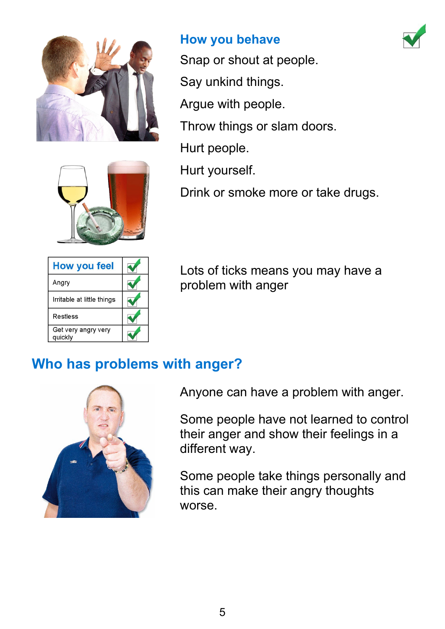



| <b>How you feel</b>            |  |
|--------------------------------|--|
| Angry                          |  |
| Irritable at little things     |  |
| Restless                       |  |
| Get very angry very<br>quickly |  |

#### **How you behave**

Snap or shout at people. Say unkind things. Argue with people.

Throw things or slam doors.

Hurt people.

Hurt yourself.

Drink or smoke more or take drugs.

Lots of ticks means you may have a problem with anger

# <span id="page-4-0"></span>**Who has problems with anger?**



Anyone can have a problem with anger.

Some people have not learned to control their anger and show their feelings in a different way.

Some people take things personally and this can make their angry thoughts worse.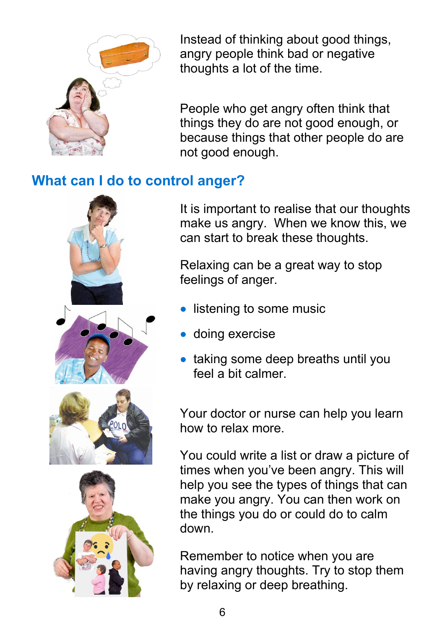

Instead of thinking about good things, angry people think bad or negative thoughts a lot of the time.

People who get angry often think that things they do are not good enough, or because things that other people do are not good enough.

#### <span id="page-5-0"></span>**What can I do to control anger?**



It is important to realise that our thoughts make us angry. When we know this, we can start to break these thoughts.

Relaxing can be a great way to stop feelings of anger.

- listening to some music
- doing exercise
- taking some deep breaths until you feel a bit calmer.

Your doctor or nurse can help you learn how to relax more.

You could write a list or draw a picture of times when you've been angry. This will help you see the types of things that can make you angry. You can then work on the things you do or could do to calm down.

Remember to notice when you are having angry thoughts. Try to stop them by relaxing or deep breathing.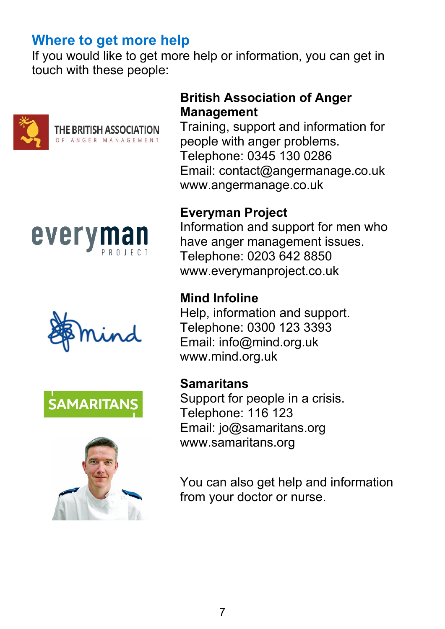#### <span id="page-6-0"></span>**Where to get more help**

If you would like to get more help or information, you can get in touch with these people:











#### **British Association of Anger Management**

Training, support and information for people with anger problems. Telephone: 0345 130 0286 Email: contact@angermanage.co.uk www.angermanage.co.uk

#### **Everyman Project**

Information and support for men who have anger management issues. Telephone: 0203 642 8850 www.everymanproject.co.uk

#### **Mind Infoline**

Help, information and support. Telephone: 0300 123 3393 Email: info@mind.org.uk www.mind.org.uk

#### **Samaritans**

Support for people in a crisis. Telephone: 116 123 Email: jo@samaritans.org www.samaritans.org

You can also get help and information from your doctor or nurse.